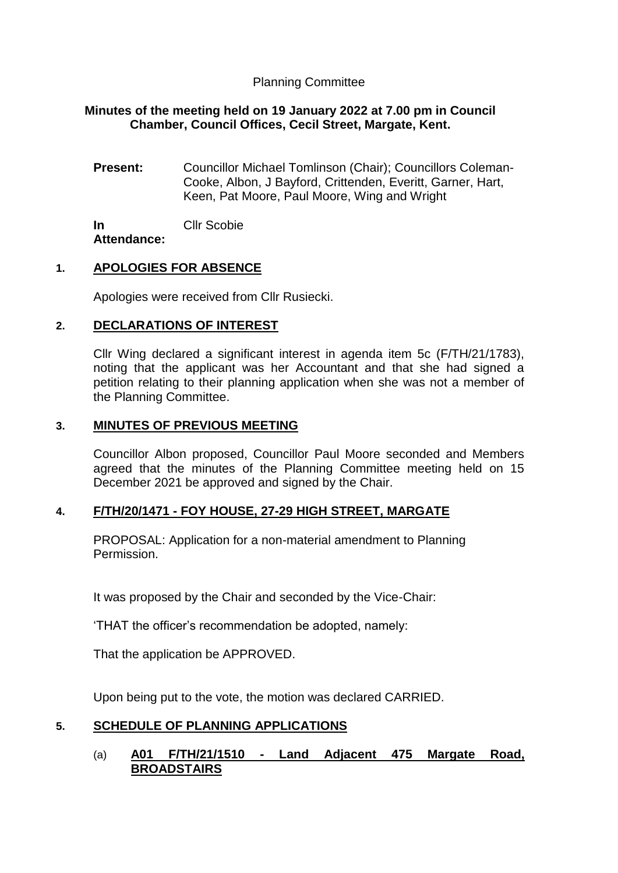## Planning Committee

## **Minutes of the meeting held on 19 January 2022 at 7.00 pm in Council Chamber, Council Offices, Cecil Street, Margate, Kent.**

**Present:** Councillor Michael Tomlinson (Chair); Councillors Coleman-Cooke, Albon, J Bayford, Crittenden, Everitt, Garner, Hart, Keen, Pat Moore, Paul Moore, Wing and Wright

**In Attendance:** Cllr Scobie

## **1. APOLOGIES FOR ABSENCE**

Apologies were received from Cllr Rusiecki.

## **2. DECLARATIONS OF INTEREST**

Cllr Wing declared a significant interest in agenda item 5c (F/TH/21/1783), noting that the applicant was her Accountant and that she had signed a petition relating to their planning application when she was not a member of the Planning Committee.

### **3. MINUTES OF PREVIOUS MEETING**

Councillor Albon proposed, Councillor Paul Moore seconded and Members agreed that the minutes of the Planning Committee meeting held on 15 December 2021 be approved and signed by the Chair.

### **4. F/TH/20/1471 - FOY HOUSE, 27-29 HIGH STREET, MARGATE**

PROPOSAL: Application for a non-material amendment to Planning Permission.

It was proposed by the Chair and seconded by the Vice-Chair:

'THAT the officer's recommendation be adopted, namely:

That the application be APPROVED.

Upon being put to the vote, the motion was declared CARRIED.

### **5. SCHEDULE OF PLANNING APPLICATIONS**

### (a) **A01 F/TH/21/1510 - Land Adjacent 475 Margate Road, BROADSTAIRS**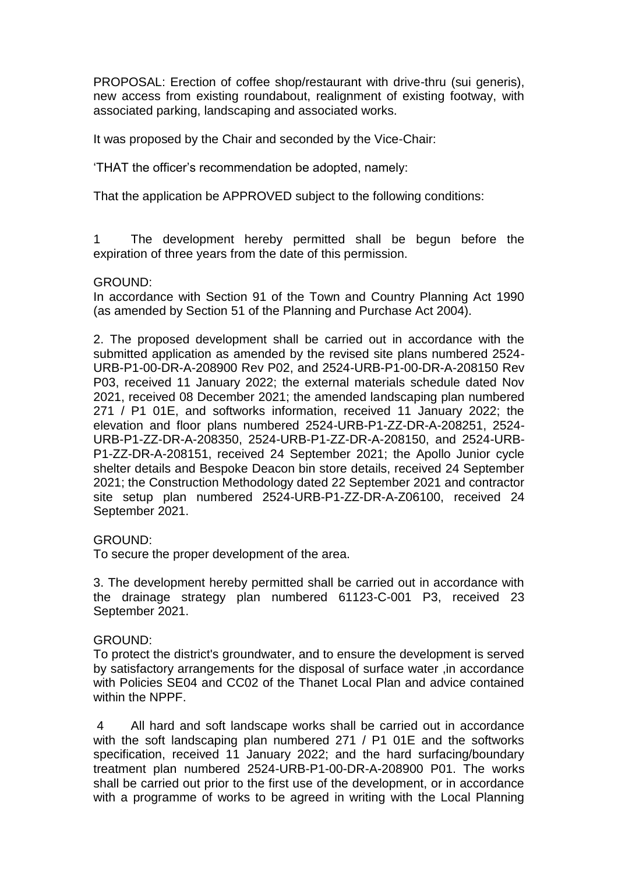PROPOSAL: Erection of coffee shop/restaurant with drive-thru (sui generis), new access from existing roundabout, realignment of existing footway, with associated parking, landscaping and associated works.

It was proposed by the Chair and seconded by the Vice-Chair:

'THAT the officer's recommendation be adopted, namely:

That the application be APPROVED subject to the following conditions:

1 The development hereby permitted shall be begun before the expiration of three years from the date of this permission.

#### GROUND:

In accordance with Section 91 of the Town and Country Planning Act 1990 (as amended by Section 51 of the Planning and Purchase Act 2004).

2. The proposed development shall be carried out in accordance with the submitted application as amended by the revised site plans numbered 2524- URB-P1-00-DR-A-208900 Rev P02, and 2524-URB-P1-00-DR-A-208150 Rev P03, received 11 January 2022; the external materials schedule dated Nov 2021, received 08 December 2021; the amended landscaping plan numbered 271 / P1 01E, and softworks information, received 11 January 2022; the elevation and floor plans numbered 2524-URB-P1-ZZ-DR-A-208251, 2524- URB-P1-ZZ-DR-A-208350, 2524-URB-P1-ZZ-DR-A-208150, and 2524-URB-P1-ZZ-DR-A-208151, received 24 September 2021; the Apollo Junior cycle shelter details and Bespoke Deacon bin store details, received 24 September 2021; the Construction Methodology dated 22 September 2021 and contractor site setup plan numbered 2524-URB-P1-ZZ-DR-A-Z06100, received 24 September 2021.

### GROUND:

To secure the proper development of the area.

3. The development hereby permitted shall be carried out in accordance with the drainage strategy plan numbered 61123-C-001 P3, received 23 September 2021.

### GROUND:

To protect the district's groundwater, and to ensure the development is served by satisfactory arrangements for the disposal of surface water ,in accordance with Policies SE04 and CC02 of the Thanet Local Plan and advice contained within the NPPF.

4 All hard and soft landscape works shall be carried out in accordance with the soft landscaping plan numbered 271 / P1 01E and the softworks specification, received 11 January 2022; and the hard surfacing/boundary treatment plan numbered 2524-URB-P1-00-DR-A-208900 P01. The works shall be carried out prior to the first use of the development, or in accordance with a programme of works to be agreed in writing with the Local Planning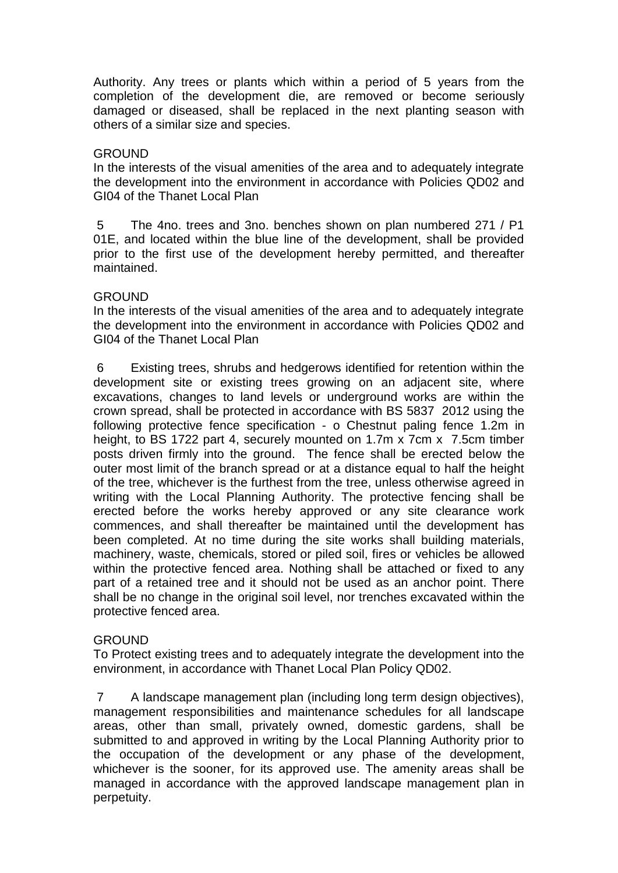Authority. Any trees or plants which within a period of 5 years from the completion of the development die, are removed or become seriously damaged or diseased, shall be replaced in the next planting season with others of a similar size and species.

### **GROUND**

In the interests of the visual amenities of the area and to adequately integrate the development into the environment in accordance with Policies QD02 and GI04 of the Thanet Local Plan

5 The 4no. trees and 3no. benches shown on plan numbered 271 / P1 01E, and located within the blue line of the development, shall be provided prior to the first use of the development hereby permitted, and thereafter maintained.

## GROUND

In the interests of the visual amenities of the area and to adequately integrate the development into the environment in accordance with Policies QD02 and GI04 of the Thanet Local Plan

6 Existing trees, shrubs and hedgerows identified for retention within the development site or existing trees growing on an adjacent site, where excavations, changes to land levels or underground works are within the crown spread, shall be protected in accordance with BS 5837 2012 using the following protective fence specification - o Chestnut paling fence 1.2m in height, to BS 1722 part 4, securely mounted on 1.7m x 7cm x 7.5cm timber posts driven firmly into the ground. The fence shall be erected below the outer most limit of the branch spread or at a distance equal to half the height of the tree, whichever is the furthest from the tree, unless otherwise agreed in writing with the Local Planning Authority. The protective fencing shall be erected before the works hereby approved or any site clearance work commences, and shall thereafter be maintained until the development has been completed. At no time during the site works shall building materials, machinery, waste, chemicals, stored or piled soil, fires or vehicles be allowed within the protective fenced area. Nothing shall be attached or fixed to any part of a retained tree and it should not be used as an anchor point. There shall be no change in the original soil level, nor trenches excavated within the protective fenced area.

# GROUND

To Protect existing trees and to adequately integrate the development into the environment, in accordance with Thanet Local Plan Policy QD02.

7 A landscape management plan (including long term design objectives), management responsibilities and maintenance schedules for all landscape areas, other than small, privately owned, domestic gardens, shall be submitted to and approved in writing by the Local Planning Authority prior to the occupation of the development or any phase of the development, whichever is the sooner, for its approved use. The amenity areas shall be managed in accordance with the approved landscape management plan in perpetuity.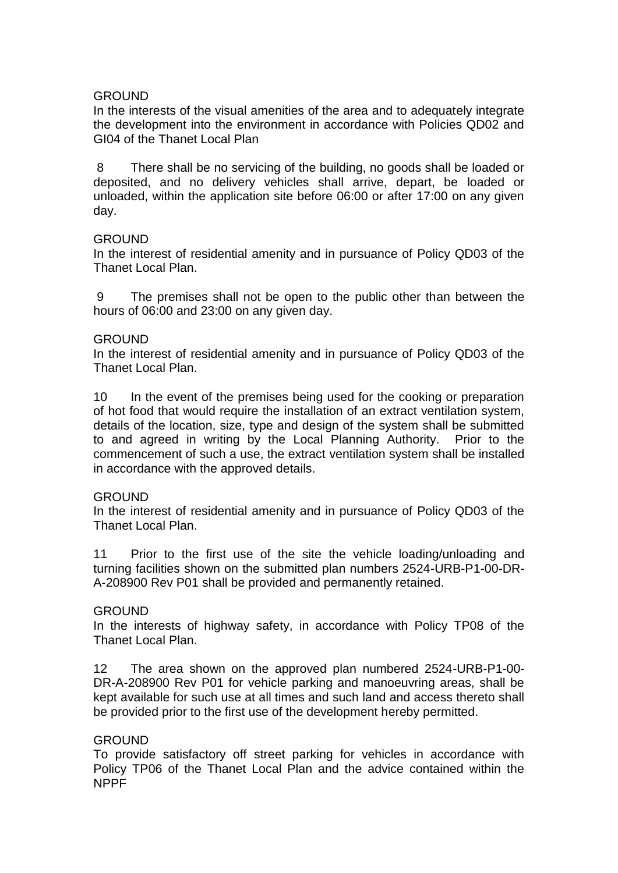### GROUND

In the interests of the visual amenities of the area and to adequately integrate the development into the environment in accordance with Policies QD02 and GI04 of the Thanet Local Plan

8 There shall be no servicing of the building, no goods shall be loaded or deposited, and no delivery vehicles shall arrive, depart, be loaded or unloaded, within the application site before 06:00 or after 17:00 on any given day.

### **GROUND**

In the interest of residential amenity and in pursuance of Policy QD03 of the Thanet Local Plan.

9 The premises shall not be open to the public other than between the hours of 06:00 and 23:00 on any given day.

### GROUND

In the interest of residential amenity and in pursuance of Policy QD03 of the Thanet Local Plan.

10 In the event of the premises being used for the cooking or preparation of hot food that would require the installation of an extract ventilation system, details of the location, size, type and design of the system shall be submitted to and agreed in writing by the Local Planning Authority. Prior to the commencement of such a use, the extract ventilation system shall be installed in accordance with the approved details.

#### **GROUND**

In the interest of residential amenity and in pursuance of Policy QD03 of the Thanet Local Plan.

11 Prior to the first use of the site the vehicle loading/unloading and turning facilities shown on the submitted plan numbers 2524-URB-P1-00-DR-A-208900 Rev P01 shall be provided and permanently retained.

#### **GROUND**

In the interests of highway safety, in accordance with Policy TP08 of the Thanet Local Plan.

12 The area shown on the approved plan numbered 2524-URB-P1-00- DR-A-208900 Rev P01 for vehicle parking and manoeuvring areas, shall be kept available for such use at all times and such land and access thereto shall be provided prior to the first use of the development hereby permitted.

### GROUND

To provide satisfactory off street parking for vehicles in accordance with Policy TP06 of the Thanet Local Plan and the advice contained within the NPPF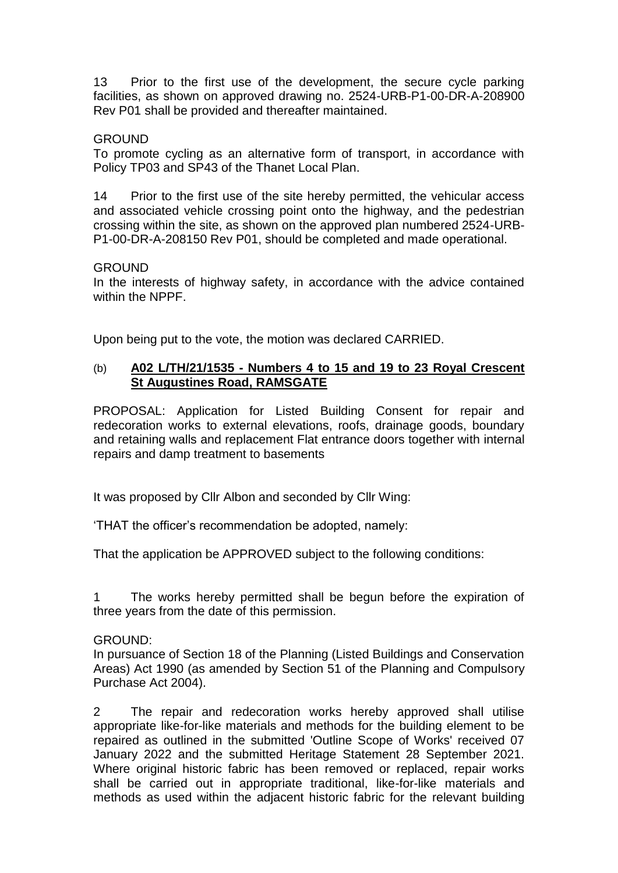13 Prior to the first use of the development, the secure cycle parking facilities, as shown on approved drawing no. 2524-URB-P1-00-DR-A-208900 Rev P01 shall be provided and thereafter maintained.

### GROUND

To promote cycling as an alternative form of transport, in accordance with Policy TP03 and SP43 of the Thanet Local Plan.

14 Prior to the first use of the site hereby permitted, the vehicular access and associated vehicle crossing point onto the highway, and the pedestrian crossing within the site, as shown on the approved plan numbered 2524-URB-P1-00-DR-A-208150 Rev P01, should be completed and made operational.

### **GROUND**

In the interests of highway safety, in accordance with the advice contained within the NPPF.

Upon being put to the vote, the motion was declared CARRIED.

## (b) **A02 L/TH/21/1535 - Numbers 4 to 15 and 19 to 23 Royal Crescent St Augustines Road, RAMSGATE**

PROPOSAL: Application for Listed Building Consent for repair and redecoration works to external elevations, roofs, drainage goods, boundary and retaining walls and replacement Flat entrance doors together with internal repairs and damp treatment to basements

It was proposed by Cllr Albon and seconded by Cllr Wing:

'THAT the officer's recommendation be adopted, namely:

That the application be APPROVED subject to the following conditions:

1 The works hereby permitted shall be begun before the expiration of three years from the date of this permission.

#### GROUND:

In pursuance of Section 18 of the Planning (Listed Buildings and Conservation Areas) Act 1990 (as amended by Section 51 of the Planning and Compulsory Purchase Act 2004).

2 The repair and redecoration works hereby approved shall utilise appropriate like-for-like materials and methods for the building element to be repaired as outlined in the submitted 'Outline Scope of Works' received 07 January 2022 and the submitted Heritage Statement 28 September 2021. Where original historic fabric has been removed or replaced, repair works shall be carried out in appropriate traditional, like-for-like materials and methods as used within the adjacent historic fabric for the relevant building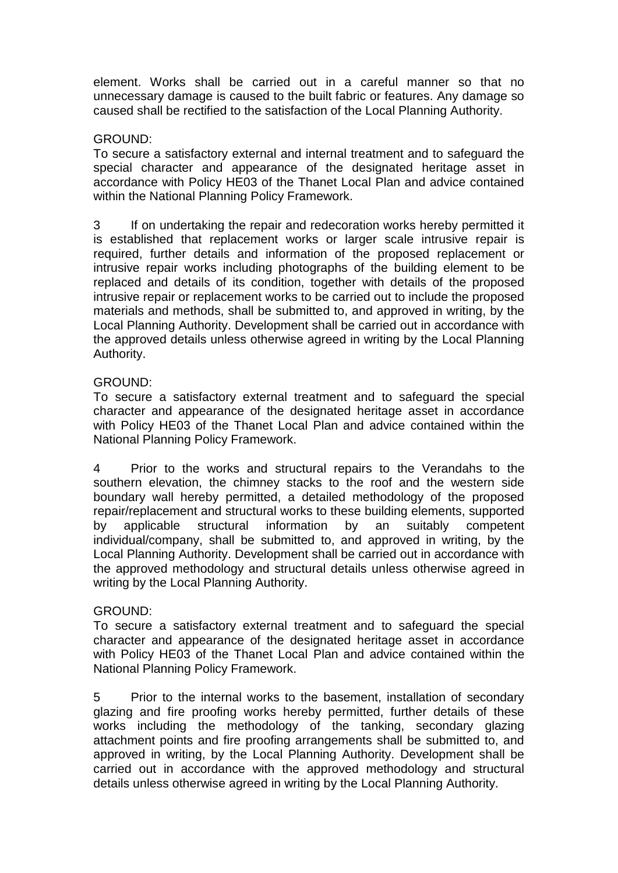element. Works shall be carried out in a careful manner so that no unnecessary damage is caused to the built fabric or features. Any damage so caused shall be rectified to the satisfaction of the Local Planning Authority.

## GROUND:

To secure a satisfactory external and internal treatment and to safeguard the special character and appearance of the designated heritage asset in accordance with Policy HE03 of the Thanet Local Plan and advice contained within the National Planning Policy Framework.

3 If on undertaking the repair and redecoration works hereby permitted it is established that replacement works or larger scale intrusive repair is required, further details and information of the proposed replacement or intrusive repair works including photographs of the building element to be replaced and details of its condition, together with details of the proposed intrusive repair or replacement works to be carried out to include the proposed materials and methods, shall be submitted to, and approved in writing, by the Local Planning Authority. Development shall be carried out in accordance with the approved details unless otherwise agreed in writing by the Local Planning Authority.

## GROUND:

To secure a satisfactory external treatment and to safeguard the special character and appearance of the designated heritage asset in accordance with Policy HE03 of the Thanet Local Plan and advice contained within the National Planning Policy Framework.

4 Prior to the works and structural repairs to the Verandahs to the southern elevation, the chimney stacks to the roof and the western side boundary wall hereby permitted, a detailed methodology of the proposed repair/replacement and structural works to these building elements, supported by applicable structural information by an suitably competent individual/company, shall be submitted to, and approved in writing, by the Local Planning Authority. Development shall be carried out in accordance with the approved methodology and structural details unless otherwise agreed in writing by the Local Planning Authority.

# GROUND:

To secure a satisfactory external treatment and to safeguard the special character and appearance of the designated heritage asset in accordance with Policy HE03 of the Thanet Local Plan and advice contained within the National Planning Policy Framework.

5 Prior to the internal works to the basement, installation of secondary glazing and fire proofing works hereby permitted, further details of these works including the methodology of the tanking, secondary glazing attachment points and fire proofing arrangements shall be submitted to, and approved in writing, by the Local Planning Authority. Development shall be carried out in accordance with the approved methodology and structural details unless otherwise agreed in writing by the Local Planning Authority.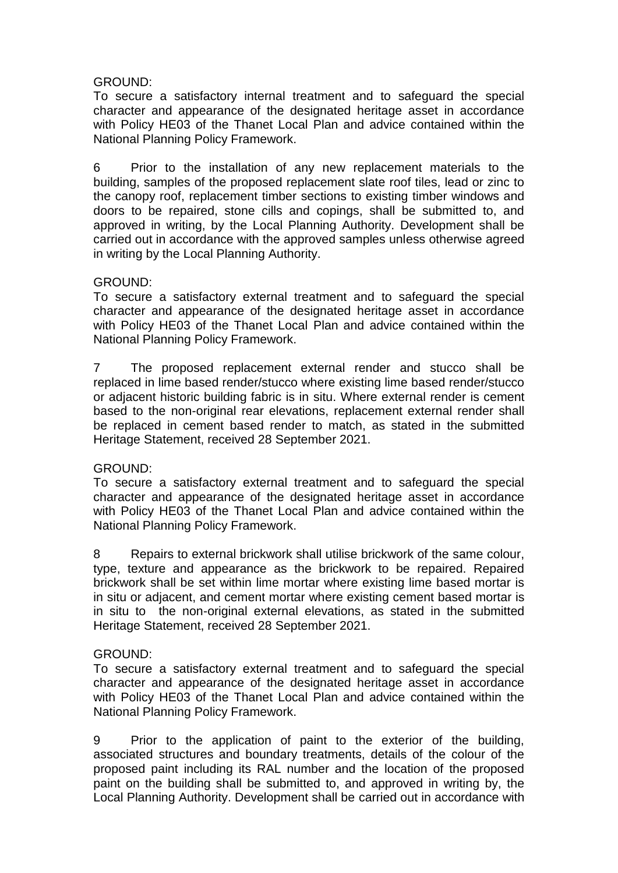# GROUND:

To secure a satisfactory internal treatment and to safeguard the special character and appearance of the designated heritage asset in accordance with Policy HE03 of the Thanet Local Plan and advice contained within the National Planning Policy Framework.

6 Prior to the installation of any new replacement materials to the building, samples of the proposed replacement slate roof tiles, lead or zinc to the canopy roof, replacement timber sections to existing timber windows and doors to be repaired, stone cills and copings, shall be submitted to, and approved in writing, by the Local Planning Authority. Development shall be carried out in accordance with the approved samples unless otherwise agreed in writing by the Local Planning Authority.

## GROUND:

To secure a satisfactory external treatment and to safeguard the special character and appearance of the designated heritage asset in accordance with Policy HE03 of the Thanet Local Plan and advice contained within the National Planning Policy Framework.

7 The proposed replacement external render and stucco shall be replaced in lime based render/stucco where existing lime based render/stucco or adjacent historic building fabric is in situ. Where external render is cement based to the non-original rear elevations, replacement external render shall be replaced in cement based render to match, as stated in the submitted Heritage Statement, received 28 September 2021.

# GROUND:

To secure a satisfactory external treatment and to safeguard the special character and appearance of the designated heritage asset in accordance with Policy HE03 of the Thanet Local Plan and advice contained within the National Planning Policy Framework.

8 Repairs to external brickwork shall utilise brickwork of the same colour, type, texture and appearance as the brickwork to be repaired. Repaired brickwork shall be set within lime mortar where existing lime based mortar is in situ or adjacent, and cement mortar where existing cement based mortar is in situ to the non-original external elevations, as stated in the submitted Heritage Statement, received 28 September 2021.

# GROUND:

To secure a satisfactory external treatment and to safeguard the special character and appearance of the designated heritage asset in accordance with Policy HE03 of the Thanet Local Plan and advice contained within the National Planning Policy Framework.

9 Prior to the application of paint to the exterior of the building, associated structures and boundary treatments, details of the colour of the proposed paint including its RAL number and the location of the proposed paint on the building shall be submitted to, and approved in writing by, the Local Planning Authority. Development shall be carried out in accordance with